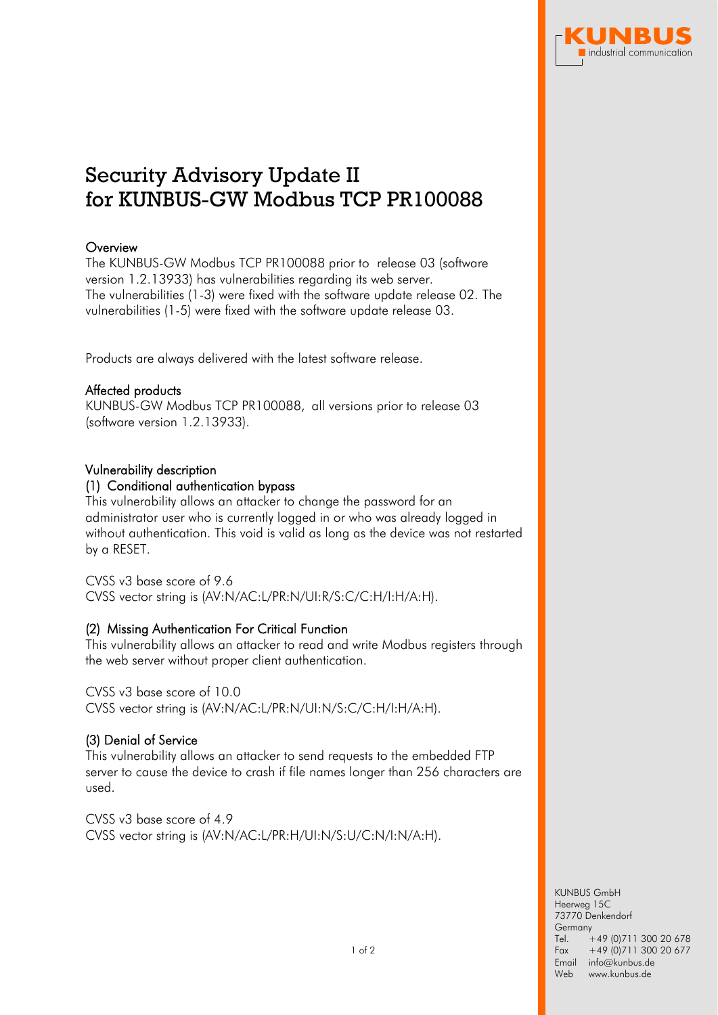

# Security Advisory Update II for KUNBUS-GW Modbus TCP PR100088

# **Overview**

The KUNBUS-GW Modbus TCP PR100088 prior to release 03 (software version 1.2.13933) has vulnerabilities regarding its web server. The vulnerabilities (1-3) were fixed with the software update release 02. The vulnerabilities (1-5) were fixed with the software update release 03.

Products are always delivered with the latest software release.

# Affected products

KUNBUS-GW Modbus TCP PR100088, all versions prior to release 03 (software version 1.2.13933).

# Vulnerability description

## (1) Conditional authentication bypass

This vulnerability allows an attacker to change the password for an administrator user who is currently logged in or who was already logged in without authentication. This void is valid as long as the device was not restarted by a RESET.

CVSS v3 base score of 9.6 CVSS vector string is (AV:N/AC:L/PR:N/UI:R/S:C/C:H/I:H/A:H).

# (2) Missing Authentication For Critical Function

This vulnerability allows an attacker to read and write Modbus registers through the web server without proper client authentication.

CVSS v3 base score of 10.0 CVSS vector string is (AV:N/AC:L/PR:N/UI:N/S:C/C:H/I:H/A:H).

# (3) Denial of Service

This vulnerability allows an attacker to send requests to the embedded FTP server to cause the device to crash if file names longer than 256 characters are used.

CVSS v3 base score of 4.9 CVSS vector string is (AV:N/AC:L/PR:H/UI:N/S:U/C:N/I:N/A:H).